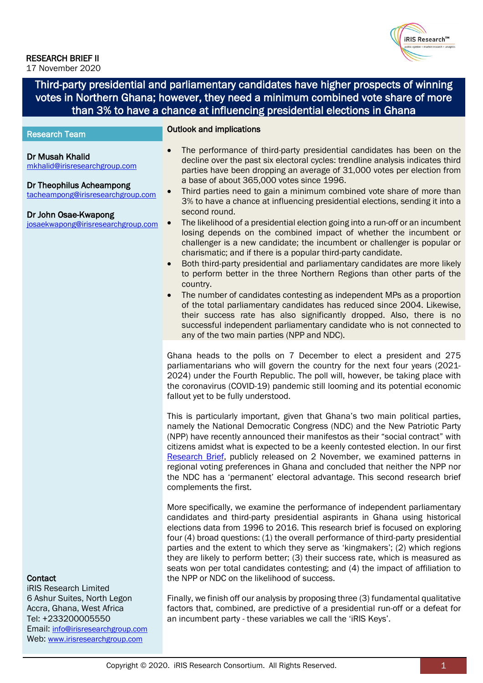## **iRIS Research™**

## RESEARCH BRIEF II

17 November 2020

Web: [www.irisresearchgroup.com](http://www.irisresearchgroup.com/)

Third-party presidential and parliamentary candidates have higher prospects of winning votes in Northern Ghana; however, they need a minimum combined vote share of more than 3% to have a chance at influencing presidential elections in Ghana

#### ı Outlook and implications • The performance of third-party presidential candidates has been on the decline over the past six electoral cycles: trendline analysis indicates third parties have been dropping an average of 31,000 votes per election from a base of about 365,000 votes since 1996. Third parties need to gain a minimum combined vote share of more than 3% to have a chance at influencing presidential elections, sending it into a second round. • The likelihood of a presidential election going into a run-off or an incumbent losing depends on the combined impact of whether the incumbent or challenger is a new candidate; the incumbent or challenger is popular or charismatic; and if there is a popular third-party candidate. • Both third-party presidential and parliamentary candidates are more likely to perform better in the three Northern Regions than other parts of the country. • The number of candidates contesting as independent MPs as a proportion of the total parliamentary candidates has reduced since 2004. Likewise, their success rate has also significantly dropped. Also, there is no successful independent parliamentary candidate who is not connected to any of the two main parties (NPP and NDC). Research Team Dr Musah Khalid [mkhalid@irisresearchgroup.com](mailto:mkhalid@irisresearchgroup.com) Dr Theophilus Acheampong [tacheampong@irisresearchgroup.com](mailto:tacheampong@irisresearchgroup.com) Dr John Osae-Kwapong [josaekwapong@irisresearchgroup.com](mailto:josaekwapong@irisresearchgroup.com) **Contact** iRIS Research Limited 6 Ashur Suites, North Legon Accra, Ghana, West Africa Tel: +233200005550 Email: [info@irisresearchgroup.com](mailto:info@irisresearchgroup.com) Ghana heads to the polls on 7 December to elect a president and 275 parliamentarians who will govern the country for the next four years (2021- 2024) under the Fourth Republic. The poll will, however, be taking place with the coronavirus (COVID-19) pandemic still looming and its potential economic fallout yet to be fully understood. This is particularly important, given that Ghana's two main political parties, namely the National Democratic Congress (NDC) and the New Patriotic Party (NPP) have recently announced their manifestos as their "social contract" with citizens amidst what is expected to be a keenly contested election. In our first [Research Brief,](https://drive.google.com/file/d/1QhPGqtJD0AXDqJ-sMUTO2PAt-BrARZ21/view?usp=sharing) publicly released on 2 November, we examined patterns in regional voting preferences in Ghana and concluded that neither the NPP nor the NDC has a 'permanent' electoral advantage. This second research brief complements the first. More specifically, we examine the performance of independent parliamentary candidates and third-party presidential aspirants in Ghana using historical elections data from 1996 to 2016. This research brief is focused on exploring four (4) broad questions: (1) the overall performance of third-party presidential parties and the extent to which they serve as 'kingmakers'; (2) which regions they are likely to perform better; (3) their success rate, which is measured as seats won per total candidates contesting; and (4) the impact of affiliation to the NPP or NDC on the likelihood of success. Finally, we finish off our analysis by proposing three (3) fundamental qualitative factors that, combined, are predictive of a presidential run-off or a defeat for an incumbent party - these variables we call the 'iRIS Keys'.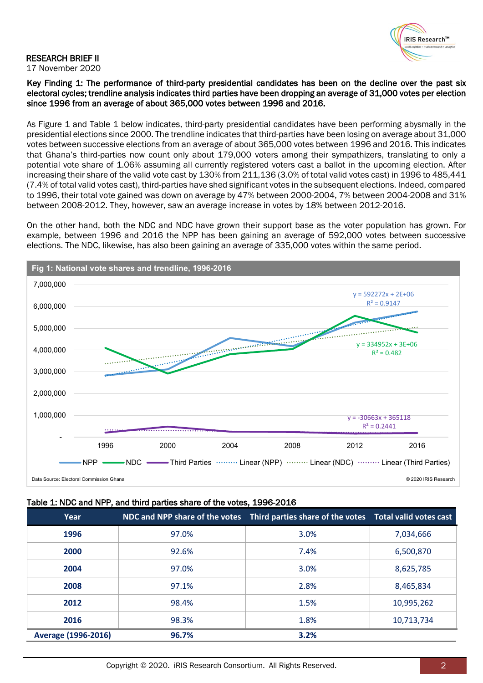

#### RESEARCH BRIEF II 17 November 2020

Key Finding 1: The performance of third-party presidential candidates has been on the decline over the past six electoral cycles; trendline analysis indicates third parties have been dropping an average of 31,000 votes per election since 1996 from an average of about 365,000 votes between 1996 and 2016.

As Figure 1 and Table 1 below indicates, third-party presidential candidates have been performing abysmally in the presidential elections since 2000. The trendline indicates that third-parties have been losing on average about 31,000 votes between successive elections from an average of about 365,000 votes between 1996 and 2016. This indicates that Ghana's third-parties now count only about 179,000 voters among their sympathizers, translating to only a potential vote share of 1.06% assuming all currently registered voters cast a ballot in the upcoming election. After increasing their share of the valid vote cast by 130% from 211,136 (3.0% of total valid votes cast) in 1996 to 485,441 (7.4% of total valid votes cast), third-parties have shed significant votes in the subsequent elections. Indeed, compared to 1996, their total vote gained was down on average by 47% between 2000-2004, 7% between 2004-2008 and 31% between 2008-2012. They, however, saw an average increase in votes by 18% between 2012-2016.

On the other hand, both the NDC and NDC have grown their support base as the voter population has grown. For example, between 1996 and 2016 the NPP has been gaining an average of 592,000 votes between successive elections. The NDC, likewise, has also been gaining an average of 335,000 votes within the same period.



### Table 1: NDC and NPP, and third parties share of the votes, 1996-2016

| Year                       |       | NDC and NPP share of the votes Third parties share of the votes Total valid votes cast |            |
|----------------------------|-------|----------------------------------------------------------------------------------------|------------|
| 1996                       | 97.0% | 3.0%                                                                                   | 7,034,666  |
| 2000                       | 92.6% | 7.4%                                                                                   | 6,500,870  |
| 2004                       | 97.0% | 3.0%                                                                                   | 8,625,785  |
| 2008                       | 97.1% | 2.8%                                                                                   | 8,465,834  |
| 2012                       | 98.4% | 1.5%                                                                                   | 10,995,262 |
| 2016                       | 98.3% | 1.8%                                                                                   | 10,713,734 |
| <b>Average (1996-2016)</b> | 96.7% | 3.2%                                                                                   |            |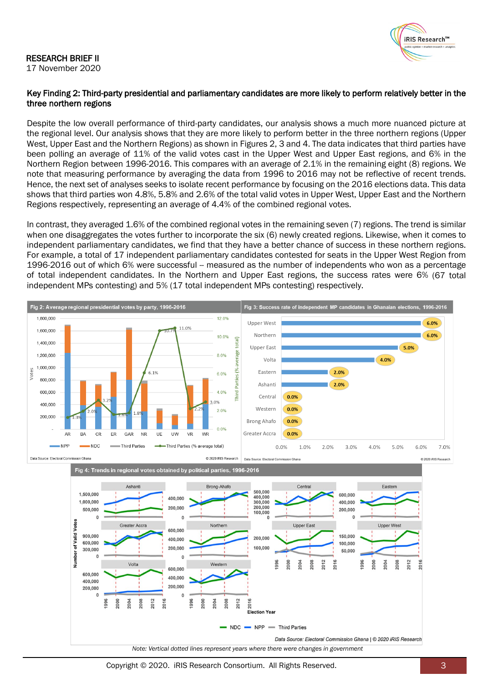## RESEARCH BRIEF II

17 November 2020



## Key Finding 2: Third-party presidential and parliamentary candidates are more likely to perform relatively better in the three northern regions

Despite the low overall performance of third-party candidates, our analysis shows a much more nuanced picture at the regional level. Our analysis shows that they are more likely to perform better in the three northern regions (Upper West, Upper East and the Northern Regions) as shown in Figures 2, 3 and 4. The data indicates that third parties have been polling an average of 11% of the valid votes cast in the Upper West and Upper East regions, and 6% in the Northern Region between 1996-2016. This compares with an average of 2.1% in the remaining eight (8) regions. We note that measuring performance by averaging the data from 1996 to 2016 may not be reflective of recent trends. Hence, the next set of analyses seeks to isolate recent performance by focusing on the 2016 elections data. This data shows that third parties won 4.8%, 5.8% and 2.6% of the total valid votes in Upper West, Upper East and the Northern Regions respectively, representing an average of 4.4% of the combined regional votes.

In contrast, they averaged 1.6% of the combined regional votes in the remaining seven (7) regions. The trend is similar when one disaggregates the votes further to incorporate the six (6) newly created regions. Likewise, when it comes to independent parliamentary candidates, we find that they have a better chance of success in these northern regions. For example, a total of 17 independent parliamentary candidates contested for seats in the Upper West Region from 1996-2016 out of which 6% were successful -- measured as the number of independents who won as a percentage of total independent candidates. In the Northern and Upper East regions, the success rates were 6% (67 total independent MPs contesting) and 5% (17 total independent MPs contesting) respectively.



Copyright © 2020. iRIS Research Consortium. All Rights Reserved. 3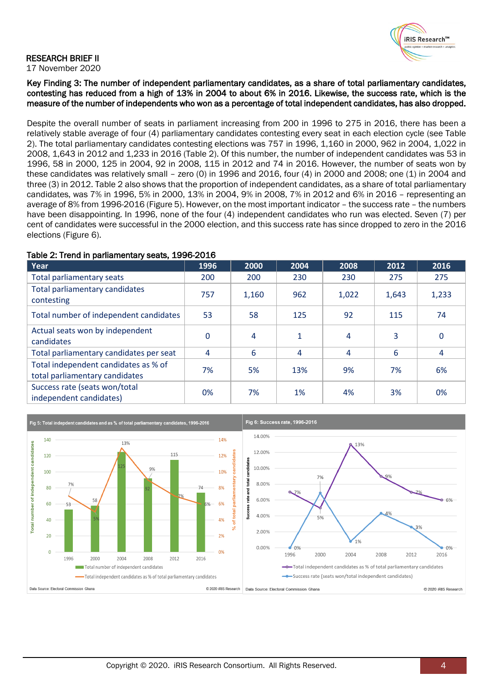## iRIS Research™

#### RESEARCH BRIEF II 17 November 2020

Key Finding 3: The number of independent parliamentary candidates, as a share of total parliamentary candidates, contesting has reduced from a high of 13% in 2004 to about 6% in 2016. Likewise, the success rate, which is the measure of the number of independents who won as a percentage of total independent candidates, has also dropped.

Despite the overall number of seats in parliament increasing from 200 in 1996 to 275 in 2016, there has been a relatively stable average of four (4) parliamentary candidates contesting every seat in each election cycle (see Table 2). The total parliamentary candidates contesting elections was 757 in 1996, 1,160 in 2000, 962 in 2004, 1,022 in 2008, 1,643 in 2012 and 1,233 in 2016 (Table 2). Of this number, the number of independent candidates was 53 in 1996, 58 in 2000, 125 in 2004, 92 in 2008, 115 in 2012 and 74 in 2016. However, the number of seats won by these candidates was relatively small - zero (0) in 1996 and 2016, four (4) in 2000 and 2008; one (1) in 2004 and three (3) in 2012. Table 2 also shows that the proportion of independent candidates, as a share of total parliamentary candidates, was 7% in 1996, 5% in 2000, 13% in 2004, 9% in 2008, 7% in 2012 and 6% in 2016 – representing an average of 8% from 1996-2016 (Figure 5). However, on the most important indicator – the success rate – the numbers have been disappointing. In 1996, none of the four (4) independent candidates who run was elected. Seven (7) per cent of candidates were successful in the 2000 election, and this success rate has since dropped to zero in the 2016 elections (Figure 6).

## Table 2: Trend in parliamentary seats, 1996-2016

| Year                                                                   | 1996         | 2000  | 2004         | 2008  | 2012  | 2016  |
|------------------------------------------------------------------------|--------------|-------|--------------|-------|-------|-------|
| Total parliamentary seats                                              | 200          | 200   | 230          | 230   | 275   | 275   |
| Total parliamentary candidates<br>contesting                           | 757          | 1,160 | 962          | 1,022 | 1,643 | 1,233 |
| Total number of independent candidates                                 | 53           | 58    | 125          | 92    | 115   | 74    |
| Actual seats won by independent<br>candidates                          | $\mathbf{0}$ | 4     | $\mathbf{1}$ | 4     | 3     | 0     |
| Total parliamentary candidates per seat                                | 4            | 6     | 4            | 4     | 6     | 4     |
| Total independent candidates as % of<br>total parliamentary candidates | 7%           | 5%    | 13%          | 9%    | 7%    | 6%    |
| Success rate (seats won/total<br>independent candidates)               | 0%           | 7%    | 1%           | 4%    | 3%    | 0%    |

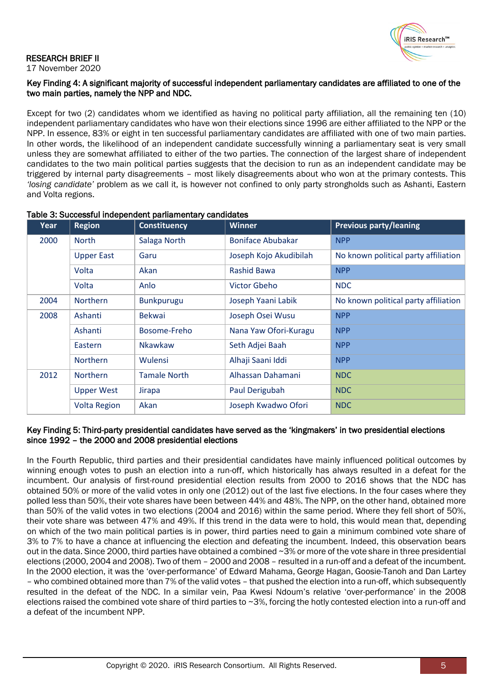

#### RESEARCH BRIEF II 17 November 2020

## Key Finding 4: A significant majority of successful independent parliamentary candidates are affiliated to one of the two main parties, namely the NPP and NDC.

Except for two (2) candidates whom we identified as having no political party affiliation, all the remaining ten (10) independent parliamentary candidates who have won their elections since 1996 are either affiliated to the NPP or the NPP. In essence, 83% or eight in ten successful parliamentary candidates are affiliated with one of two main parties. In other words, the likelihood of an independent candidate successfully winning a parliamentary seat is very small unless they are somewhat affiliated to either of the two parties. The connection of the largest share of independent candidates to the two main political parties suggests that the decision to run as an independent candidate may be triggered by internal party disagreements – most likely disagreements about who won at the primary contests. This *'losing candidate'* problem as we call it, is however not confined to only party strongholds such as Ashanti, Eastern and Volta regions.

| Year | <b>Region</b>       | Constituency        | <b>Winner</b>          | <b>Previous party/leaning</b>        |
|------|---------------------|---------------------|------------------------|--------------------------------------|
| 2000 | <b>North</b>        | Salaga North        | Boniface Abubakar      | <b>NPP</b>                           |
|      | <b>Upper East</b>   | Garu                | Joseph Kojo Akudibilah | No known political party affiliation |
|      | Volta               | Akan                | <b>Rashid Bawa</b>     | <b>NPP</b>                           |
|      | Volta               | Anlo                | Victor Gbeho           | <b>NDC</b>                           |
| 2004 | Northern            | <b>Bunkpurugu</b>   | Joseph Yaani Labik     | No known political party affiliation |
| 2008 | Ashanti             | <b>Bekwai</b>       | Joseph Osei Wusu       | <b>NPP</b>                           |
|      | Ashanti             | Bosome-Freho        | Nana Yaw Ofori-Kuragu  | <b>NPP</b>                           |
|      | Eastern             | <b>Nkawkaw</b>      | Seth Adjei Baah        | <b>NPP</b>                           |
|      | <b>Northern</b>     | Wulensi             | Alhaji Saani Iddi      | <b>NPP</b>                           |
| 2012 | <b>Northern</b>     | <b>Tamale North</b> | Alhassan Dahamani      | <b>NDC</b>                           |
|      | <b>Upper West</b>   | Jirapa              | Paul Derigubah         | <b>NDC</b>                           |
|      | <b>Volta Region</b> | Akan                | Joseph Kwadwo Ofori    | <b>NDC</b>                           |

## Table 3: Successful independent parliamentary candidates

## Key Finding 5: Third-party presidential candidates have served as the 'kingmakers' in two presidential elections since 1992 – the 2000 and 2008 presidential elections

In the Fourth Republic, third parties and their presidential candidates have mainly influenced political outcomes by winning enough votes to push an election into a run-off, which historically has always resulted in a defeat for the incumbent. Our analysis of first-round presidential election results from 2000 to 2016 shows that the NDC has obtained 50% or more of the valid votes in only one (2012) out of the last five elections. In the four cases where they polled less than 50%, their vote shares have been between 44% and 48%. The NPP, on the other hand, obtained more than 50% of the valid votes in two elections (2004 and 2016) within the same period. Where they fell short of 50%, their vote share was between 47% and 49%. If this trend in the data were to hold, this would mean that, depending on which of the two main political parties is in power, third parties need to gain a minimum combined vote share of 3% to 7% to have a chance at influencing the election and defeating the incumbent. Indeed, this observation bears out in the data. Since 2000, third parties have obtained a combined ~3% or more of the vote share in three presidential elections (2000, 2004 and 2008). Two of them – 2000 and 2008 – resulted in a run-off and a defeat of the incumbent. In the 2000 election, it was the 'over-performance' of Edward Mahama, George Hagan, Goosie-Tanoh and Dan Lartey – who combined obtained more than 7% of the valid votes – that pushed the election into a run-off, which subsequently resulted in the defeat of the NDC. In a similar vein, Paa Kwesi Ndoum's relative 'over-performance' in the 2008 elections raised the combined vote share of third parties to  $\sim$ 3%, forcing the hotly contested election into a run-off and a defeat of the incumbent NPP.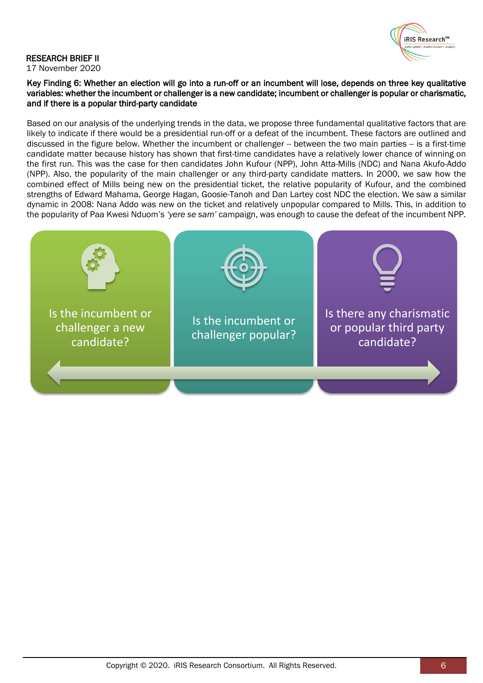

#### RESEARCH BRIEF II 17 November 2020

Key Finding 6: Whether an election will go into a run-off or an incumbent will lose, depends on three key qualitative variables: whether the incumbent or challenger is a new candidate; incumbent or challenger is popular or charismatic, and if there is a popular third-party candidate

Based on our analysis of the underlying trends in the data, we propose three fundamental qualitative factors that are likely to indicate if there would be a presidential run-off or a defeat of the incumbent. These factors are outlined and discussed in the figure below. Whether the incumbent or challenger -- between the two main parties -- is a first-time candidate matter because history has shown that first-time candidates have a relatively lower chance of winning on the first run. This was the case for then candidates John Kufour (NPP), John Atta-Mills (NDC) and Nana Akufo-Addo (NPP). Also, the popularity of the main challenger or any third-party candidate matters. In 2000, we saw how the combined effect of Mills being new on the presidential ticket, the relative popularity of Kufour, and the combined strengths of Edward Mahama, George Hagan, Goosie-Tanoh and Dan Lartey cost NDC the election. We saw a similar dynamic in 2008: Nana Addo was new on the ticket and relatively unpopular compared to Mills. This, in addition to the popularity of Paa Kwesi Nduom's *'yere se sam'* campaign, was enough to cause the defeat of the incumbent NPP.